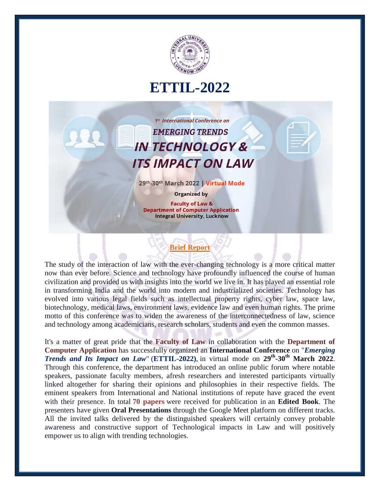

## **ETTIL-2022**

1st International Conference on **EMERGING TRENDS IN TECHNOLOGY & ITS IMPACT ON LAW** 

29th-30th March 2022 | Virtual Mode

**Organized by** 

**Faculty of Law & Department of Computer Application Integral University, Lucknow** 

## **Brief Report**

The study of the interaction of law with the ever-changing technology is a more critical matter now than ever before. Science and technology have profoundly influenced the course of human civilization and provided us with insights into the world we live in. It has played an essential role in transforming India and the world into modern and industrialized societies. Technology has evolved into various legal fields such as intellectual property rights, cyber law, space law, biotechnology, medical laws, environment laws, evidence law and even human rights. The prime motto of this conference was to widen the awareness of the interconnectedness of law, science and technology among academicians, research scholars, students and even the common masses.

It's a matter of great pride that the **Faculty of Law** in collaboration with the **Department of Computer Application** has successfully organized an **International Conference** on "*Emerging Trends and Its Impact on Law*" (**ETTIL-2022)**, in virtual mode on **29th -30th March 2022**. Through this conference, the department has introduced an online public forum where notable speakers, passionate faculty members, afresh researchers and interested participants virtually linked altogether for sharing their opinions and philosophies in their respective fields. The eminent speakers from International and National institutions of repute have graced the event with their presence. In total **70 papers** were received for publication in an **Edited Book**. The presenters have given **Oral Presentations** through the Google Meet platform on different tracks. All the invited talks delivered by the distinguished speakers will certainly convey probable awareness and constructive support of Technological impacts in Law and will positively empower us to align with trending technologies.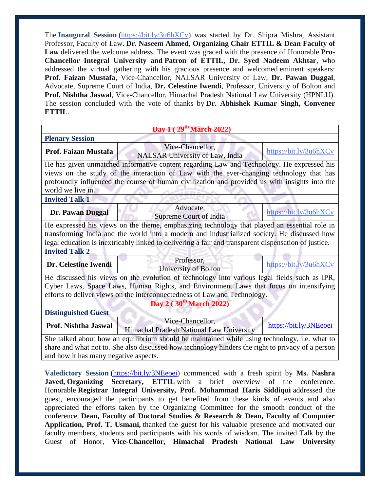The **Inaugural Session** [\(https://bit.ly/3u6hXCv\)](https://bit.ly/3u6hXCv) was started by Dr. Shipra Mishra, Assistant Professor, Faculty of Law. **Dr. Naseem Ahmed**, **Organizing Chair ETTIL & Dean Faculty of Law** delivered the welcome address. The event was graced with the presence of Honorable **Pro-Chancellor Integral University and Patron of ETTIL, Dr. Syed Nadeem Akhtar**, who addressed the virtual gathering with his gracious presence and welcomed eminent speakers: **Prof. Faizan Mustafa**, Vice-Chancellor, NALSAR University of Law, **Dr. Pawan Duggal**, Advocate, Supreme Court of India, **Dr. Celestine Iwendi**, Professor, University of Bolton and **Prof. Nishtha Jaswal**, Vice-Chancellor, Himachal Pradesh National Law University (HPNLU). The session concluded with the vote of thanks by **Dr. Abhishek Kumar Singh, Convener ETTIL**.

| Day 1 ( $29th March 2022$ )                                                                          |                                          |                        |
|------------------------------------------------------------------------------------------------------|------------------------------------------|------------------------|
| <b>Plenary Session</b>                                                                               |                                          |                        |
| Prof. Faizan Mustafa                                                                                 | Vice-Chancellor,                         | https://bit.ly/3u6hXCv |
|                                                                                                      | <b>NALSAR University of Law, India</b>   |                        |
| He has given unmatched informative content regarding Law and Technology. He expressed his            |                                          |                        |
| views on the study of the interaction of Law with the ever-changing technology that has              |                                          |                        |
| profoundly influenced the course of human civilization and provided us with insights into the        |                                          |                        |
| world we live in.                                                                                    |                                          |                        |
| <b>Invited Talk 1</b>                                                                                |                                          |                        |
| Dr. Pawan Duggal                                                                                     | Advocate,                                | https://bit.ly/3u6hXCv |
|                                                                                                      | Supreme Court of India                   |                        |
| He expressed his views on the theme, emphasizing technology that played an essential role in         |                                          |                        |
| transforming India and the world into a modern and industrialized society. He discussed how          |                                          |                        |
| legal education is inextricably linked to delivering a fair and transparent dispensation of justice. |                                          |                        |
| <b>Invited Talk 2</b>                                                                                |                                          |                        |
| Dr. Celestine Iwendi                                                                                 | Professor,                               | https://bit.ly/3u6hXCv |
|                                                                                                      | University of Bolton                     |                        |
| He discussed his views on the evolution of technology into various legal fields such as IPR,         |                                          |                        |
| Cyber Laws, Space Laws, Human Rights, and Environment Laws that focus on intensifying                |                                          |                        |
| efforts to deliver views on the interconnectedness of Law and Technology.                            |                                          |                        |
| Day 2 (30 <sup>th</sup> March 2022)                                                                  |                                          |                        |
| <b>Distinguished Guest</b>                                                                           |                                          |                        |
| Prof. Nishtha Jaswal                                                                                 | Vice-Chancellor,                         | https://bit.ly/3NEeoei |
|                                                                                                      | Himachal Pradesh National Law University |                        |
| She talked about how an equilibrium should be maintained while using technology, i.e. what to        |                                          |                        |
| share and what not to. She also discussed how technology hinders the right to privacy of a person    |                                          |                        |
| and how it has many negative aspects.                                                                |                                          |                        |

**Valedictory Session** [\(https://bit.ly/3NEeoei\)](https://bit.ly/3NEeoei) commenced with a fresh spirit by **Ms. Nashra Javed, Organizing Secretary, ETTIL** with a brief overview of the conference. Honorable **Registrar Integral University, Prof. Mohammad Haris Siddiqui** addressed the guest, encouraged the participants to get benefited from these kinds of events and also appreciated the efforts taken by the Organizing Committee for the smooth conduct of the conference. **Dean, Faculty of Doctoral Studies & Research & Dean, Faculty of Computer Application, Prof. T. Usmani,** thanked the guest for his valuable presence and motivated our faculty members, students and participants with his words of wisdom. The invited Talk by the Guest of Honor, **Vice-Chancellor, Himachal Pradesh National Law University**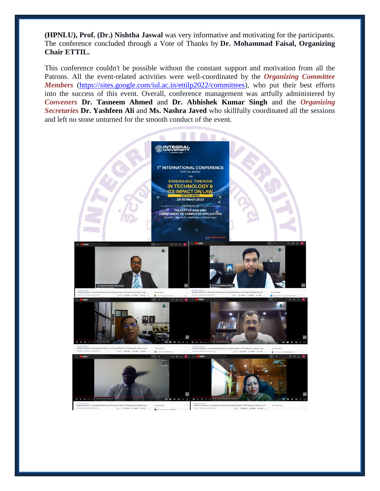**(HPNLU), Prof. (Dr.) Nishtha Jaswal** was very informative and motivating for the participants. The conference concluded through a Vote of Thanks by **Dr. Mohammad Faisal, Organizing Chair ETTIL.**

This conference couldn't be possible without the constant support and motivation from all the Patrons. All the event-related activities were well-coordinated by the *Organizing Committee Members* [\(https://sites.google.com/iul.ac.in/ettilp2022/committees\)](https://sites.google.com/iul.ac.in/ettilp2022/committees), who put their best efforts into the success of this event. Overall, conference management was artfully administered by *Conveners* **Dr. Tasneem Ahmed** and **Dr. Abhishek Kumar Singh** and the *Organizing Secretaries* **Dr. Yashfeen Ali** and **Ms. Nashra Javed** who skillfully coordinated all the sessions and left no stone unturned for the smooth conduct of the event.